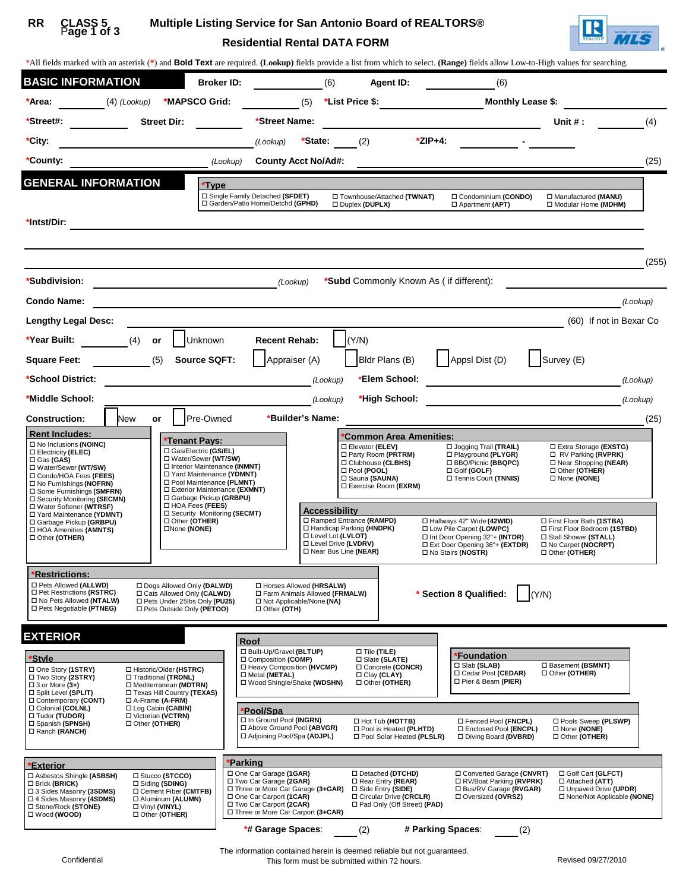#### P**age 1 of 3 CLASS 5 RR**

# **Residential Rental DATA FORM Multiple Listing Service for San Antonio Board of REALTORS®**



| *All fields marked with an asterisk (*) and <b>Bold Text</b> are required. (Lookup) fields provide a list from which to select. (Range) fields allow Low-to-High values for searching.                                                                                                                 |                                                                                                                                                                                                                                                   |                                                                                                                                                    |                                                                                                                                                           |                                                                                                                                                     |                                                                                                                                  |
|--------------------------------------------------------------------------------------------------------------------------------------------------------------------------------------------------------------------------------------------------------------------------------------------------------|---------------------------------------------------------------------------------------------------------------------------------------------------------------------------------------------------------------------------------------------------|----------------------------------------------------------------------------------------------------------------------------------------------------|-----------------------------------------------------------------------------------------------------------------------------------------------------------|-----------------------------------------------------------------------------------------------------------------------------------------------------|----------------------------------------------------------------------------------------------------------------------------------|
| <b>BASIC INFORMATION</b>                                                                                                                                                                                                                                                                               | <b>Broker ID:</b>                                                                                                                                                                                                                                 | (6)                                                                                                                                                | Agent ID:                                                                                                                                                 | (6)                                                                                                                                                 |                                                                                                                                  |
| *Area: $(4)$ (Lookup)                                                                                                                                                                                                                                                                                  | *MAPSCO Grid:                                                                                                                                                                                                                                     |                                                                                                                                                    |                                                                                                                                                           |                                                                                                                                                     | (5) $*$ List Price \$: Monthly Lease \$:                                                                                         |
| <b>Street Dir:</b><br>*Street#:                                                                                                                                                                                                                                                                        |                                                                                                                                                                                                                                                   | *Street Name:                                                                                                                                      |                                                                                                                                                           |                                                                                                                                                     | (4)<br>Unit # :                                                                                                                  |
| *City:                                                                                                                                                                                                                                                                                                 | (Lookup)                                                                                                                                                                                                                                          | *State: $(2)$                                                                                                                                      | *ZIP+4:                                                                                                                                                   |                                                                                                                                                     |                                                                                                                                  |
| *County:                                                                                                                                                                                                                                                                                               |                                                                                                                                                                                                                                                   | <b>County Acct No/Ad#:</b>                                                                                                                         |                                                                                                                                                           |                                                                                                                                                     | (25)                                                                                                                             |
| <b>GENERAL INFORMATION</b>                                                                                                                                                                                                                                                                             | *Type                                                                                                                                                                                                                                             |                                                                                                                                                    |                                                                                                                                                           |                                                                                                                                                     |                                                                                                                                  |
| *Intst/Dir:                                                                                                                                                                                                                                                                                            | □ Single Family Detached (SFDET)<br>□ Garden/Patio Home/Detchd (GPHD)                                                                                                                                                                             |                                                                                                                                                    | □ Townhouse/Attached (TWNAT)<br>Duplex (DUPLX)                                                                                                            | □ Condominium (CONDO)<br>□ Apartment (APT)                                                                                                          | □ Manufactured (MANU)<br>□ Modular Home (MDHM)                                                                                   |
|                                                                                                                                                                                                                                                                                                        |                                                                                                                                                                                                                                                   |                                                                                                                                                    |                                                                                                                                                           |                                                                                                                                                     | (255)                                                                                                                            |
| *Subdivision:                                                                                                                                                                                                                                                                                          | <u> 1980 - Johann Barn, fransk politik (d. 1980)</u>                                                                                                                                                                                              | (Lookup)                                                                                                                                           | *Subd Commonly Known As (if different):                                                                                                                   |                                                                                                                                                     |                                                                                                                                  |
| <b>Condo Name:</b>                                                                                                                                                                                                                                                                                     |                                                                                                                                                                                                                                                   |                                                                                                                                                    |                                                                                                                                                           |                                                                                                                                                     | (Lookup)                                                                                                                         |
| <b>Lengthy Legal Desc:</b>                                                                                                                                                                                                                                                                             |                                                                                                                                                                                                                                                   |                                                                                                                                                    |                                                                                                                                                           |                                                                                                                                                     | (60) If not in Bexar Co.                                                                                                         |
| *Year Built:<br>(4)<br>or                                                                                                                                                                                                                                                                              | Unknown                                                                                                                                                                                                                                           | <b>Recent Rehab:</b>                                                                                                                               | (Y/N)                                                                                                                                                     |                                                                                                                                                     |                                                                                                                                  |
| (5)<br><b>Square Feet:</b>                                                                                                                                                                                                                                                                             | Source SQFT:                                                                                                                                                                                                                                      | Appraiser (A)                                                                                                                                      | $\left  \right $ Bldr Plans (B)                                                                                                                           | Appsl Dist (D)                                                                                                                                      | $\left  \right $ Survey (E)                                                                                                      |
| *School District:                                                                                                                                                                                                                                                                                      |                                                                                                                                                                                                                                                   | (Lookup)                                                                                                                                           | *Elem School:                                                                                                                                             |                                                                                                                                                     | (Lookup)                                                                                                                         |
| *Middle School:                                                                                                                                                                                                                                                                                        |                                                                                                                                                                                                                                                   | (Lookup)                                                                                                                                           | *High School:                                                                                                                                             |                                                                                                                                                     | (Lookup)                                                                                                                         |
| New<br><b>Construction:</b><br>or                                                                                                                                                                                                                                                                      | Pre-Owned                                                                                                                                                                                                                                         | *Builder's Name:                                                                                                                                   |                                                                                                                                                           |                                                                                                                                                     | (25)                                                                                                                             |
| <b>Rent Includes:</b><br>□ No Inclusions (NOINC)<br>□ Electricity (ELEC)<br>$\Box$ Gas (GAS)<br>□ Water/Sewer (WT/SW)<br>□ Condo/HOA Fees (FEES)<br>□ No Furnishings (NOFRN)<br>□ Some Furnishings (SMFRN)<br>□ Security Monitoring (SECMN)<br>□ Water Softener (WTRSF)                                | *Tenant Pays:<br>□ Gas/Electric (GS/EL)<br>□ Water/Sewer (WT/SW)<br>□ Interior Maintenance (INMNT)<br>□ Yard Maintenance (YDMNT)<br>□ Pool Maintenance (PLMNT)<br>□ Exterior Maintenance (EXMNT)<br>□ Garbage Pickup (GRBPU)<br>□ HOA Fees (FEES) |                                                                                                                                                    | *Common Area Amenities:<br>□ Elevator (ELEV)<br>□ Party Room (PRTRM)<br>□ Clubhouse (CLBHS)<br>□ Pool (POOL)<br>□ Sauna (SAUNA)<br>□ Exercise Room (EXRM) | $\Box$ Jogging Trail (TRAIL)<br>□ Playground (PLYGR)<br>□ BBQ/Picnic (BBQPC)<br>$\Box$ Golf (GOLF)<br>□ Tennis Court (TNNIS)                        | □ Extra Storage (EXSTG)<br>$\Box$ RV Parking (RVPRK)<br>□ Near Shopping (NEAR)<br>Other (OTHER)<br>□ None (NONE)                 |
| □ Yard Maintenance (YDMNT)<br>□ Other (OTHER)<br>□ Garbage Pickup (GRBPU)<br>□None (NONE)<br>□ HOA Amenities (AMNTS)<br>□ Other (OTHER)                                                                                                                                                                | □ Security Monitoring (SECMT)                                                                                                                                                                                                                     | Accessibility<br>□ Ramped Entrance (RAMPD)<br>□ Handicap Parking (HNDPK)<br>□ Level Lot (LVLOT)<br>□ Level Drive (LVDRV)<br>□ Near Bus Line (NEAR) |                                                                                                                                                           | □ Hallways 42" Wide (42WID)<br>□ Low Pile Carpet (LOWPC)<br>□ Int Door Opening 32"+ (INTDR)<br>Ext Door Opening 36"+ (EXTDR)<br>□ No Stairs (NOSTR) | □ First Floor Bath (1STBA)<br>□ First Floor Bedroom (1STBD)<br>□ Stall Shower (STALL)<br>□ No Carpet (NOCRPT)<br>□ Other (OTHER) |
| <b>*Restrictions:</b>                                                                                                                                                                                                                                                                                  |                                                                                                                                                                                                                                                   |                                                                                                                                                    |                                                                                                                                                           |                                                                                                                                                     |                                                                                                                                  |
| □ Pets Allowed (ALLWD)<br>□ Dogs Allowed Only (DALWD)<br>□ Pet Restrictions (RSTRC)<br>□ Cats Allowed Only (CALWD)<br>□ No Pets Allowed (NTALW)<br>□ Pets Under 25lbs Only (PU25)<br>□ Pets Negotiable (PTNEG)<br>□ Pets Outside Only (PETOO)                                                          | □ Other (OTH)                                                                                                                                                                                                                                     | □ Horses Allowed (HRSALW)<br>□ Farm Animals Allowed (FRMALW)<br>□ Not Applicable/None (NA)                                                         |                                                                                                                                                           | * Section 8 Qualified:                                                                                                                              | (Y/N)                                                                                                                            |
| <b>EXTERIOR</b>                                                                                                                                                                                                                                                                                        | Roof                                                                                                                                                                                                                                              |                                                                                                                                                    |                                                                                                                                                           |                                                                                                                                                     |                                                                                                                                  |
| *Style<br>□ One Story (1STRY)<br>□ Historic/Older (HSTRC)<br>□ Two Story (2STRY)<br>□ Traditional (TRDNL)<br>$\Box$ 3 or More (3+)<br>□ Mediterranean (MDTRN)<br>□ Texas Hill Country (TEXAS)<br>□ Split Level (SPLIT)<br>□ Contemporary (CONT)<br>D A-Frame (A-FRM)                                   | □ Built-Up/Gravel (BLTUP)<br>□ Composition (COMP)<br>□ Metal (METAL)                                                                                                                                                                              | □ Heavy Composition (HVCMP)<br>□ Wood Shingle/Shake (WDSHN)                                                                                        | $\square$ Tile (TILE)<br>□ Slate (SLATE)<br>Concrete (CONCR)<br>□ Clay (CLAY)<br>□ Other (OTHER)                                                          | <b>Foundation</b><br>□ Slab (SLAB)<br>□ Cedar Post (CEDAR)<br>□ Pier & Beam (PIER)                                                                  | □ Basement (BSMNT)<br>□ Other (OTHER)                                                                                            |
| □ Colonial (COLNL)<br>□ Log Cabin (CABIN)<br>□ Victorian (VCTRN)<br>□ Tudor (TUDOR)<br>□ Other (OTHER)<br>□ Spanish (SPNSH)<br>□ Ranch (RANCH)                                                                                                                                                         | Pool/Spa<br>□ In Ground Pool (INGRN)                                                                                                                                                                                                              | □ Above Ground Pool (ABVGR)<br>□ Adjoining Pool/Spa (ADJPL)                                                                                        | □ Hot Tub (HOTTB)<br>D Pool is Heated (PLHTD)<br>□ Pool Solar Heated (PLSLR)                                                                              | □ Fenced Pool (FNCPL)<br>□ Enclosed Pool (ENCPL)<br>□ Diving Board (DVBRD)                                                                          | □ Pools Sweep (PLSWP)<br>□ None (NONE)<br>□ Other (OTHER)                                                                        |
| <b>Exterior</b><br>□ Stucco (STCCO)<br>□ Asbestos Shingle (ASBSH)<br>□ Brick (BRICK)<br>□ Siding (SDING)<br>□ Cement Fiber (CMTFB)<br>□ 3 Sides Masonry (3SDMS)<br>□ 4 Sides Masonry (4SDMS)<br>□ Aluminum (ALUMN)<br>□ Stone/Rock (STONE)<br>□ Vinyl (VINYL)<br>$\Box$ Wood (WOOD)<br>□ Other (OTHER) | Parking<br>□ One Car Garage (1GAR)<br>□ Two Car Garage (2GAR)<br>□ One Car Carport (1CAR)<br>□ Two Car Carport (2CAR)                                                                                                                             | □ Three or More Car Garage (3+GAR)<br>□ Three or More Car Carport (3+CAR)                                                                          | □ Detached (DTCHD)<br>□ Rear Entry (REAR)<br>□ Side Entry (SIDE)<br>□ Circular Drive (CRCLR)<br>□ Pad Only (Off Street) (PAD)                             | □ Converted Garage (CNVRT)<br>□ RV/Boat Parking (RVPRK)<br>□ Bus/RV Garage (RVGAR)<br>□ Oversized (OVRSZ)                                           | □ Golf Cart (GLFCT)<br>□ Attached (ATT)<br>□ Unpaved Drive (UPDR)<br>□ None/Not Applicable (NONE)                                |
|                                                                                                                                                                                                                                                                                                        | *# Garage Spaces:                                                                                                                                                                                                                                 |                                                                                                                                                    | (2)                                                                                                                                                       | # Parking Spaces:<br>(2)                                                                                                                            |                                                                                                                                  |

The information contained herein is deemed reliable but not guaranteed. This form must be submitted within 72 hours.<br>This form must be submitted within 72 hours.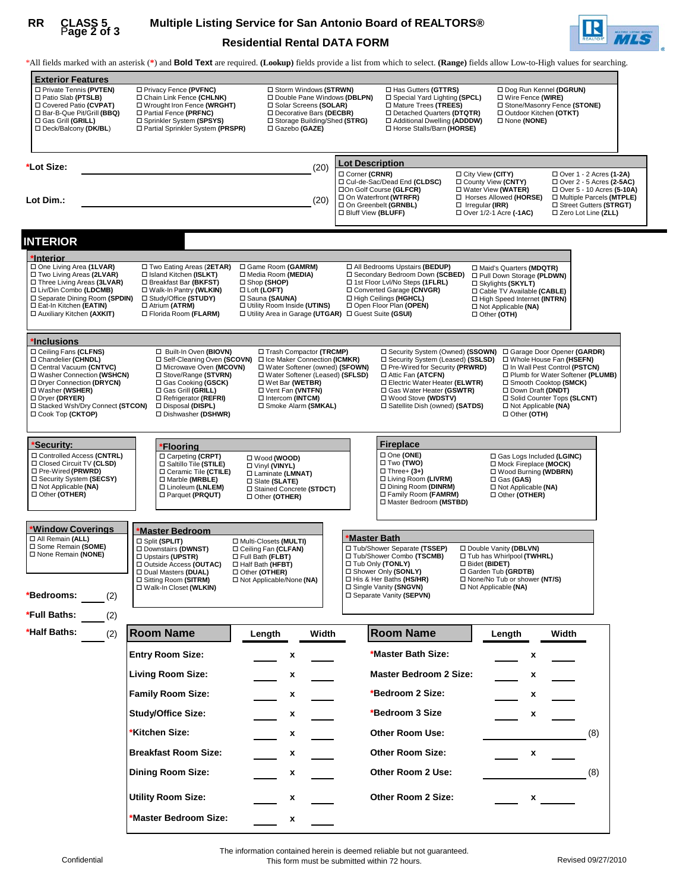# P**age 2 of 3**

### **Residential Rental DATA FORM RR CLASS 5 Multiple Listing Service for San Antonio Board of REALTORS®**



\*All fields marked with an asterisk (**\***) and **Bold Text** are required. **(Lookup)** fields provide a list from which to select. **(Range)** fields allow Low-to-High values for searching.

| <b>Exterior Features</b><br>□ Private Tennis (PVTEN)<br>□ Patio Slab (PTSLB)<br>□ Covered Patio (CVPAT)<br>□ Bar-B-Que Pit/Grill (BBQ)<br>□ Gas Grill (GRILL)<br>□ Deck/Balcony (DK/BL)                                                 | □ Privacy Fence (PVFNC)<br>Chain Link Fence (CHLNK)<br>□ Wrought Iron Fence (WRGHT)<br>□ Partial Fence (PRFNC)<br>□ Sprinkler System (SPSYS)<br>□ Partial Sprinkler System (PRSPR)                                                  | □ Storm Windows (STRWN)<br>□ Double Pane Windows (DBLPN)<br>□ Solar Screens (SOLAR)<br>□ Decorative Bars (DECBR)<br>□ Storage Building/Shed (STRG)<br>□ Gazebo (GAZE)                                                          |                                                                                                                                                                                              | □ Has Gutters (GTTRS)<br>□ Special Yard Lighting (SPCL)<br>□ Mature Trees (TREES)<br>□ Detached Quarters (DTQTR)<br>□ Additional Dwelling (ADDDW)<br>□ Horse Stalls/Barn (HORSE)                                           | □ None (NONE)                                                                                                                                                                              | □ Dog Run Kennel (DGRUN)<br>□ Wire Fence (WIRE)<br>□ Stone/Masonry Fence (STONE)<br>□ Outdoor Kitchen (OTKT)                                                                                                                |                                                           |
|-----------------------------------------------------------------------------------------------------------------------------------------------------------------------------------------------------------------------------------------|-------------------------------------------------------------------------------------------------------------------------------------------------------------------------------------------------------------------------------------|--------------------------------------------------------------------------------------------------------------------------------------------------------------------------------------------------------------------------------|----------------------------------------------------------------------------------------------------------------------------------------------------------------------------------------------|----------------------------------------------------------------------------------------------------------------------------------------------------------------------------------------------------------------------------|--------------------------------------------------------------------------------------------------------------------------------------------------------------------------------------------|-----------------------------------------------------------------------------------------------------------------------------------------------------------------------------------------------------------------------------|-----------------------------------------------------------|
|                                                                                                                                                                                                                                         |                                                                                                                                                                                                                                     |                                                                                                                                                                                                                                |                                                                                                                                                                                              |                                                                                                                                                                                                                            |                                                                                                                                                                                            |                                                                                                                                                                                                                             |                                                           |
|                                                                                                                                                                                                                                         |                                                                                                                                                                                                                                     |                                                                                                                                                                                                                                |                                                                                                                                                                                              |                                                                                                                                                                                                                            |                                                                                                                                                                                            |                                                                                                                                                                                                                             |                                                           |
| *Lot Size:                                                                                                                                                                                                                              |                                                                                                                                                                                                                                     | (20)                                                                                                                                                                                                                           | <b>Lot Description</b>                                                                                                                                                                       |                                                                                                                                                                                                                            |                                                                                                                                                                                            |                                                                                                                                                                                                                             |                                                           |
|                                                                                                                                                                                                                                         |                                                                                                                                                                                                                                     |                                                                                                                                                                                                                                | □ Corner (CRNR)<br>□ Cul-de-Sac/Dead End (CLDSC)                                                                                                                                             |                                                                                                                                                                                                                            | □ City View (CITY)<br>□ County View (CNTY)                                                                                                                                                 |                                                                                                                                                                                                                             | □ Over 1 - 2 Acres (1-2A)<br>□ Over 2 - 5 Acres (2-5AC)   |
| Lot Dim.:                                                                                                                                                                                                                               |                                                                                                                                                                                                                                     | (20)                                                                                                                                                                                                                           | □On Golf Course (GLFCR)<br>□ On Waterfront (WTRFR)                                                                                                                                           |                                                                                                                                                                                                                            | □ Water View (WATER)<br>□ Horses Allowed (HORSE)                                                                                                                                           |                                                                                                                                                                                                                             | □ Over 5 - 10 Acres (5-10A)<br>□ Multiple Parcels (MTPLE) |
|                                                                                                                                                                                                                                         |                                                                                                                                                                                                                                     |                                                                                                                                                                                                                                | □ On Greenbelt (GRNBL)<br>□ Bluff View (BLUFF)                                                                                                                                               |                                                                                                                                                                                                                            | $\Box$ Irregular (IRR)<br>□ Over 1/2-1 Acre (-1AC)                                                                                                                                         |                                                                                                                                                                                                                             | □ Street Gutters (STRGT)<br>□ Zero Lot Line (ZLL)         |
|                                                                                                                                                                                                                                         |                                                                                                                                                                                                                                     |                                                                                                                                                                                                                                |                                                                                                                                                                                              |                                                                                                                                                                                                                            |                                                                                                                                                                                            |                                                                                                                                                                                                                             |                                                           |
| <b>INTERIOR</b>                                                                                                                                                                                                                         |                                                                                                                                                                                                                                     |                                                                                                                                                                                                                                |                                                                                                                                                                                              |                                                                                                                                                                                                                            |                                                                                                                                                                                            |                                                                                                                                                                                                                             |                                                           |
| *Interior                                                                                                                                                                                                                               |                                                                                                                                                                                                                                     |                                                                                                                                                                                                                                |                                                                                                                                                                                              |                                                                                                                                                                                                                            |                                                                                                                                                                                            |                                                                                                                                                                                                                             |                                                           |
| □ One Living Area (1LVAR)<br>□ Two Living Areas (2LVAR)<br>□ Three Living Areas (3LVAR)<br>□ Liv/Din Combo (LDCMB)<br>□ Separate Dining Room (SPDIN)<br>□ Eat-In Kitchen (EATIN)<br>□ Auxiliary Kitchen (AXKIT)                         | □ Two Eating Areas (2ETAR)<br>□ Island Kitchen (ISLKT)<br>□ Breakfast Bar (BKFST)<br>□ Walk-In Pantry (WLKIN)<br>□ Study/Office (STUDY)<br>□ Atrium (ATRM)<br>□ Florida Room (FLARM)                                                | □ Game Room (GAMRM)<br>□ Media Room (MEDIA)<br>□ Shop (SHOP)<br>□ Loft (LOFT)<br>□ Sauna (SAUNA)<br>□ Utility Room Inside (UTINS)<br>□ Utility Area in Garage (UTGAR) □ Guest Suite (GSUI)                                     | □ All Bedrooms Upstairs (BEDUP)<br>□ Secondary Bedroom Down (SCBED)<br>□ 1st Floor Lvl/No Steps (1FLRL)<br>□ Converted Garage (CNVGR)<br>□ High Ceilings (HGHCL)<br>□ Open Floor Plan (OPEN) |                                                                                                                                                                                                                            | □ Maid's Quarters (MDQTR)<br>□ Pull Down Storage (PLDWN)<br>□ Skylights (SKYLT)<br>□ Cable TV Available (CABLE)<br>□ High Speed Internet (INTRN)<br>□ Not Applicable (NA)<br>□ Other (OTH) |                                                                                                                                                                                                                             |                                                           |
| *Inclusions                                                                                                                                                                                                                             |                                                                                                                                                                                                                                     |                                                                                                                                                                                                                                |                                                                                                                                                                                              |                                                                                                                                                                                                                            |                                                                                                                                                                                            |                                                                                                                                                                                                                             |                                                           |
| □ Ceiling Fans (CLFNS)<br>Chandelier (CHNDL)<br>□ Central Vacuum (CNTVC)<br>□ Washer Connection (WSHCN)<br>□ Dryer Connection (DRYCN)<br>□ Washer (WSHER)<br>□ Dryer (DRYER)<br>□ Stacked Wsh/Dry Connect (STCON)<br>□ Cook Top (CKTOP) | □ Built-In Oven (BIOVN)<br>□ Self-Cleaning Oven (SCOVN)<br>□ Microwave Oven (MCOVN)<br>□ Stove/Range (STVRN)<br>□ Gas Cooking (GSCK)<br>□ Gas Grill (GRILL)<br>□ Refrigerator (REFRI)<br>□ Disposal (DISPL)<br>□ Dishwasher (DSHWR) | □ Trash Compactor (TRCMP)<br>□ Ice Maker Connection (ICMKR)<br>□ Water Softener (owned) (SFOWN)<br>□ Water Softener (Leased) (SFLSD)<br>□ Wet Bar (WETBR)<br>□ Vent Fan (VNTFN)<br>□ Intercom (INTCM)<br>□ Smoke Alarm (SMKAL) |                                                                                                                                                                                              | □ Security System (Leased) (SSLSD)<br>□ Pre-Wired for Security (PRWRD)<br>□ Attic Fan (ATCFN)<br>□ Electric Water Heater (ELWTR)<br>□ Gas Water Heater (GSWTR)<br>□ Wood Stove (WDSTV)<br>□ Satellite Dish (owned) (SATDS) | □ Security System (Owned) (SSOWN) □ Garage Door Opener (GARDR)                                                                                                                             | □ Whole House Fan (HSEFN)<br>□ In Wall Pest Control (PSTCN)<br>□ Plumb for Water Softener (PLUMB)<br>□ Smooth Cooktop (SMCK)<br>Down Draft (DNDT)<br>□ Solid Counter Tops (SLCNT)<br>□ Not Applicable (NA)<br>□ Other (OTH) |                                                           |
|                                                                                                                                                                                                                                         |                                                                                                                                                                                                                                     |                                                                                                                                                                                                                                | <b>Fireplace</b>                                                                                                                                                                             |                                                                                                                                                                                                                            |                                                                                                                                                                                            |                                                                                                                                                                                                                             |                                                           |
| <u> 'Security:</u><br>□ Controlled Access (CNTRL)<br>□ Closed Circuit TV (CLSD)<br>□ Pre-Wired (PRWRD)<br>□ Security System (SECSY)<br>□ Not Applicable (NA)<br>□ Other (OTHER)                                                         | 'Flooring<br>□ Carpeting (CRPT)<br>□ Saltillo Tile (STILE)<br>□ Ceramic Tile (CTILE)<br>□ Marble (MRBLE)<br>□ Linoleum (LNLEM)<br>□ Parquet (PRQUT)                                                                                 | □ Wood (WOOD)<br>□ Vinyl (VINYL)<br>□ Laminate (LMNAT)<br>□ Slate (SLATE)<br>□ Stained Concrete (STDCT)<br>□ Other (OTHER)                                                                                                     | □ One (ONE)<br>□ Two (TWO)<br>$\Box$ Three+ (3+)                                                                                                                                             | □ Living Room (LIVRM)<br>□ Dining Room (DINRM)<br>□ Family Room (FAMRM)<br>□ Master Bedroom (MSTBD)                                                                                                                        | $\Box$ Gas (GAS)<br>$\Box$ Not Applicable (NA)<br>□ Other (OTHER)                                                                                                                          | □ Gas Logs Included (LGINC)<br>□ Mock Fireplace (MOCK)<br>□ Wood Burning (WDBRN)                                                                                                                                            |                                                           |
|                                                                                                                                                                                                                                         |                                                                                                                                                                                                                                     |                                                                                                                                                                                                                                |                                                                                                                                                                                              |                                                                                                                                                                                                                            |                                                                                                                                                                                            |                                                                                                                                                                                                                             |                                                           |
| <b>Window Coverings</b><br>□ All Remain (ALL)                                                                                                                                                                                           | <b>Master Bedroom</b><br>□ Split (SPLIT)                                                                                                                                                                                            | □ Multi-Closets (MULTI)                                                                                                                                                                                                        | <b>Master Bath</b>                                                                                                                                                                           |                                                                                                                                                                                                                            |                                                                                                                                                                                            |                                                                                                                                                                                                                             |                                                           |
| □ Some Remain (SOME)<br>□ None Remain (NONE)                                                                                                                                                                                            | □ Downstairs (DWNST)<br>□ Upstairs (UPSTR)<br>□ Outside Access (OUTAC)<br>D Dual Masters (DUAL)<br>□ Sitting Room (SITRM)<br>□ Walk-In Closet (WLKIN)                                                                               | □ Ceiling Fan (CLFAN)<br>□ Full Bath (FLBT)<br>□ Half Bath (HFBT)<br>□ Other (OTHER)<br>□ Not Applicable/None (NA)                                                                                                             | □ Tub/Shower Separate (TSSEP)<br>□ Tub/Shower Combo (TSCMB)<br>□ Tub Only (TONLY)<br>□ Shower Only (SONLY)<br>□ His & Her Baths (HS/HR)<br>□ Single Vanity (SNGVN)                           |                                                                                                                                                                                                                            | □ Double Vanity (DBLVN)<br>□ Tub has Whirlpool (TWHRL)<br>□ Bidet (BIDET)<br>□ Garden Tub (GRDTB)<br>□ None/No Tub or shower (NT/S)<br>$\Box$ Not Applicable (NA)                          |                                                                                                                                                                                                                             |                                                           |
| *Bedrooms:<br>(2)                                                                                                                                                                                                                       |                                                                                                                                                                                                                                     |                                                                                                                                                                                                                                | □ Separate Vanity (SEPVN)                                                                                                                                                                    |                                                                                                                                                                                                                            |                                                                                                                                                                                            |                                                                                                                                                                                                                             |                                                           |
| *Full Baths:<br>(2)                                                                                                                                                                                                                     |                                                                                                                                                                                                                                     |                                                                                                                                                                                                                                |                                                                                                                                                                                              |                                                                                                                                                                                                                            |                                                                                                                                                                                            |                                                                                                                                                                                                                             |                                                           |
| *Half Baths:                                                                                                                                                                                                                            | <b>Room Name</b>                                                                                                                                                                                                                    |                                                                                                                                                                                                                                |                                                                                                                                                                                              |                                                                                                                                                                                                                            |                                                                                                                                                                                            |                                                                                                                                                                                                                             |                                                           |
| (2)                                                                                                                                                                                                                                     |                                                                                                                                                                                                                                     | Length<br>Width                                                                                                                                                                                                                | <b>Room Name</b>                                                                                                                                                                             |                                                                                                                                                                                                                            | Length                                                                                                                                                                                     | Width                                                                                                                                                                                                                       |                                                           |
|                                                                                                                                                                                                                                         | <b>Entry Room Size:</b>                                                                                                                                                                                                             | x                                                                                                                                                                                                                              |                                                                                                                                                                                              | *Master Bath Size:                                                                                                                                                                                                         |                                                                                                                                                                                            | x                                                                                                                                                                                                                           |                                                           |
|                                                                                                                                                                                                                                         | <b>Living Room Size:</b>                                                                                                                                                                                                            | x                                                                                                                                                                                                                              |                                                                                                                                                                                              | <b>Master Bedroom 2 Size:</b>                                                                                                                                                                                              |                                                                                                                                                                                            | x                                                                                                                                                                                                                           |                                                           |
|                                                                                                                                                                                                                                         |                                                                                                                                                                                                                                     |                                                                                                                                                                                                                                |                                                                                                                                                                                              |                                                                                                                                                                                                                            |                                                                                                                                                                                            |                                                                                                                                                                                                                             |                                                           |
|                                                                                                                                                                                                                                         | <b>Family Room Size:</b>                                                                                                                                                                                                            | x                                                                                                                                                                                                                              |                                                                                                                                                                                              | *Bedroom 2 Size:                                                                                                                                                                                                           |                                                                                                                                                                                            | x                                                                                                                                                                                                                           |                                                           |
|                                                                                                                                                                                                                                         | <b>Study/Office Size:</b>                                                                                                                                                                                                           | x                                                                                                                                                                                                                              |                                                                                                                                                                                              | *Bedroom 3 Size                                                                                                                                                                                                            |                                                                                                                                                                                            | x                                                                                                                                                                                                                           |                                                           |
|                                                                                                                                                                                                                                         | Kitchen Size:                                                                                                                                                                                                                       | x                                                                                                                                                                                                                              |                                                                                                                                                                                              | <b>Other Room Use:</b>                                                                                                                                                                                                     |                                                                                                                                                                                            |                                                                                                                                                                                                                             | (8)                                                       |
|                                                                                                                                                                                                                                         |                                                                                                                                                                                                                                     |                                                                                                                                                                                                                                |                                                                                                                                                                                              |                                                                                                                                                                                                                            |                                                                                                                                                                                            |                                                                                                                                                                                                                             |                                                           |
|                                                                                                                                                                                                                                         | <b>Breakfast Room Size:</b>                                                                                                                                                                                                         | x                                                                                                                                                                                                                              |                                                                                                                                                                                              | <b>Other Room Size:</b>                                                                                                                                                                                                    |                                                                                                                                                                                            | x                                                                                                                                                                                                                           |                                                           |
|                                                                                                                                                                                                                                         | Dining Room Size:                                                                                                                                                                                                                   | x                                                                                                                                                                                                                              |                                                                                                                                                                                              | Other Room 2 Use:                                                                                                                                                                                                          |                                                                                                                                                                                            |                                                                                                                                                                                                                             | (8)                                                       |
|                                                                                                                                                                                                                                         | <b>Utility Room Size:</b>                                                                                                                                                                                                           | x                                                                                                                                                                                                                              |                                                                                                                                                                                              | Other Room 2 Size:                                                                                                                                                                                                         |                                                                                                                                                                                            | x                                                                                                                                                                                                                           |                                                           |
|                                                                                                                                                                                                                                         | Master Bedroom Size:                                                                                                                                                                                                                | x                                                                                                                                                                                                                              |                                                                                                                                                                                              |                                                                                                                                                                                                                            |                                                                                                                                                                                            |                                                                                                                                                                                                                             |                                                           |
|                                                                                                                                                                                                                                         |                                                                                                                                                                                                                                     |                                                                                                                                                                                                                                |                                                                                                                                                                                              |                                                                                                                                                                                                                            |                                                                                                                                                                                            |                                                                                                                                                                                                                             |                                                           |

The information contained herein is deemed reliable but not guaranteed.